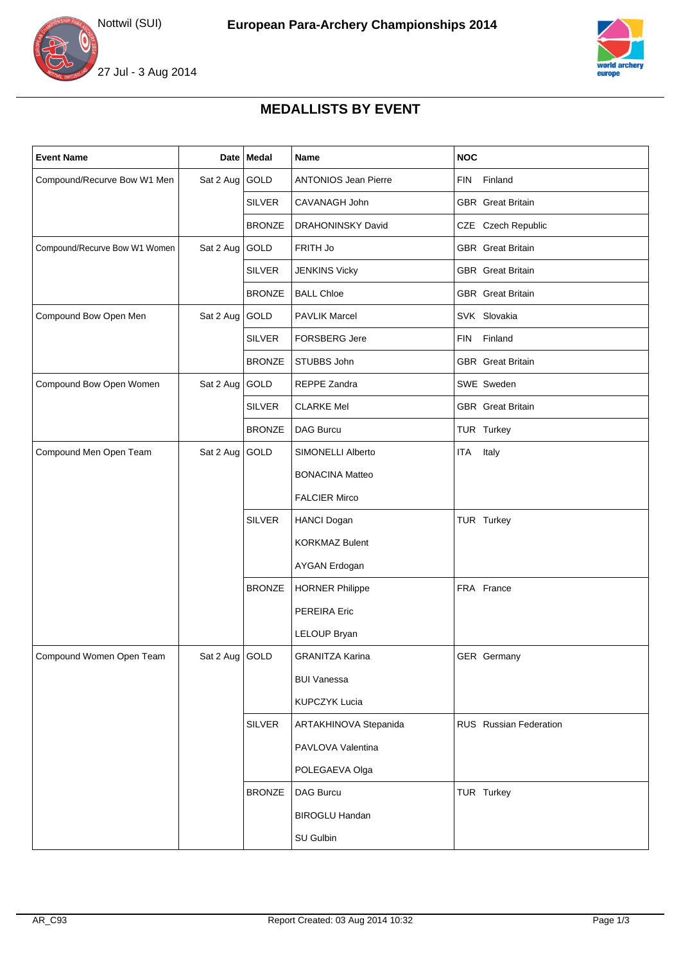





## **MEDALLISTS BY EVENT**

| <b>Event Name</b>             |                  | Date Medal    | Name                        | <b>NOC</b>               |
|-------------------------------|------------------|---------------|-----------------------------|--------------------------|
| Compound/Recurve Bow W1 Men   | Sat 2 Aug        | GOLD          | <b>ANTONIOS Jean Pierre</b> | <b>FIN</b><br>Finland    |
|                               |                  | <b>SILVER</b> | CAVANAGH John               | <b>GBR</b> Great Britain |
|                               |                  | <b>BRONZE</b> | DRAHONINSKY David           | CZE Czech Republic       |
| Compound/Recurve Bow W1 Women | Sat 2 Aug GOLD   |               | FRITH Jo                    | <b>GBR</b> Great Britain |
|                               |                  | <b>SILVER</b> | <b>JENKINS Vicky</b>        | <b>GBR</b> Great Britain |
|                               |                  | <b>BRONZE</b> | <b>BALL Chloe</b>           | <b>GBR</b> Great Britain |
| Compound Bow Open Men         | Sat 2 Aug        | GOLD          | <b>PAVLIK Marcel</b>        | SVK Slovakia             |
|                               |                  | <b>SILVER</b> | <b>FORSBERG Jere</b>        | FIN Finland              |
|                               |                  | <b>BRONZE</b> | STUBBS John                 | <b>GBR</b> Great Britain |
| Compound Bow Open Women       | Sat 2 Aug        | GOLD          | REPPE Zandra                | SWE Sweden               |
|                               |                  | <b>SILVER</b> | <b>CLARKE Mel</b>           | <b>GBR</b> Great Britain |
|                               |                  | <b>BRONZE</b> | <b>DAG Burcu</b>            | TUR Turkey               |
| Compound Men Open Team        | Sat 2 Aug        | GOLD          | SIMONELLI Alberto           | Italy<br>ITA             |
|                               |                  |               | <b>BONACINA Matteo</b>      |                          |
|                               |                  |               | <b>FALCIER Mirco</b>        |                          |
|                               |                  | <b>SILVER</b> | <b>HANCI Dogan</b>          | TUR Turkey               |
|                               |                  |               | <b>KORKMAZ Bulent</b>       |                          |
|                               |                  |               | AYGAN Erdogan               |                          |
|                               |                  | <b>BRONZE</b> | <b>HORNER Philippe</b>      | FRA France               |
|                               |                  |               | PEREIRA Eric                |                          |
|                               |                  |               | LELOUP Bryan                |                          |
| Compound Women Open Team      | Sat 2 Aug $GOLD$ |               | <b>GRANITZA Karina</b>      | GER Germany              |
|                               |                  |               | <b>BUI Vanessa</b>          |                          |
|                               |                  |               | <b>KUPCZYK Lucia</b>        |                          |
|                               |                  | <b>SILVER</b> | ARTAKHINOVA Stepanida       | RUS Russian Federation   |
|                               |                  |               | PAVLOVA Valentina           |                          |
|                               |                  |               | POLEGAEVA Olga              |                          |
|                               |                  | <b>BRONZE</b> | DAG Burcu                   | TUR Turkey               |
|                               |                  |               | <b>BIROGLU Handan</b>       |                          |
|                               |                  |               | SU Gulbin                   |                          |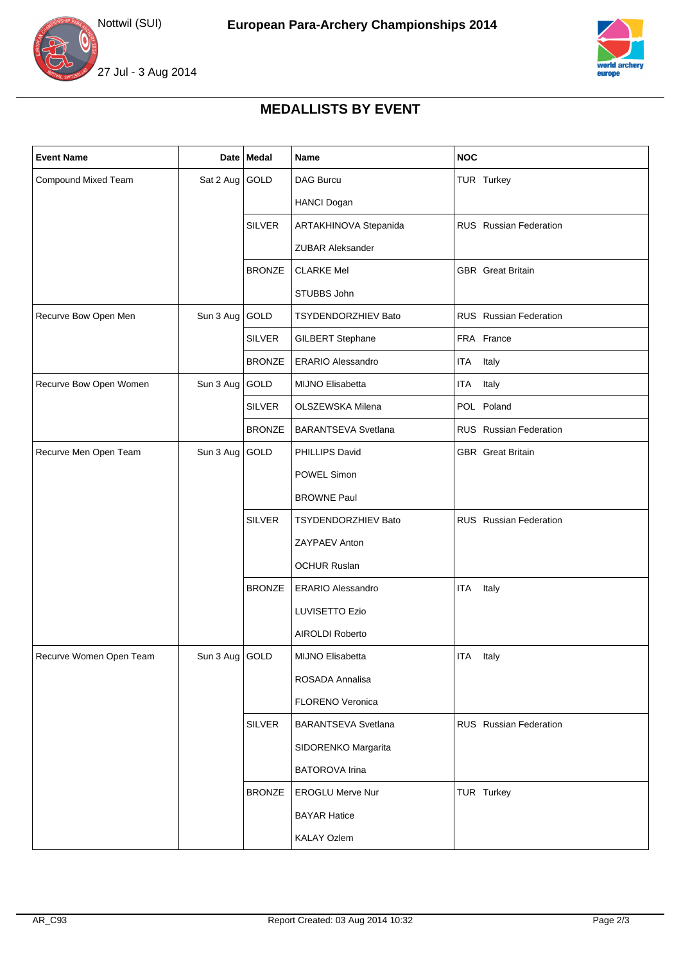





## **MEDALLISTS BY EVENT**

| <b>Event Name</b>       |                  | Date Medal    | Name                       | <b>NOC</b>               |
|-------------------------|------------------|---------------|----------------------------|--------------------------|
| Compound Mixed Team     | Sat 2 Aug GOLD   |               | <b>DAG Burcu</b>           | TUR Turkey               |
|                         |                  |               | <b>HANCI Dogan</b>         |                          |
|                         |                  | <b>SILVER</b> | ARTAKHINOVA Stepanida      | RUS Russian Federation   |
|                         |                  |               | <b>ZUBAR Aleksander</b>    |                          |
|                         |                  | <b>BRONZE</b> | <b>CLARKE Mel</b>          | <b>GBR</b> Great Britain |
|                         |                  |               | STUBBS John                |                          |
| Recurve Bow Open Men    | Sun 3 Aug GOLD   |               | TSYDENDORZHIEV Bato        | RUS Russian Federation   |
|                         |                  | <b>SILVER</b> | <b>GILBERT Stephane</b>    | FRA France               |
|                         |                  | <b>BRONZE</b> | <b>ERARIO Alessandro</b>   | <b>ITA</b><br>Italy      |
| Recurve Bow Open Women  | Sun 3 Aug GOLD   |               | MIJNO Elisabetta           | ITA Italy                |
|                         |                  | <b>SILVER</b> | OLSZEWSKA Milena           | POL Poland               |
|                         |                  | <b>BRONZE</b> | <b>BARANTSEVA Svetlana</b> | RUS Russian Federation   |
| Recurve Men Open Team   | Sun 3 Aug        | GOLD          | PHILLIPS David             | <b>GBR</b> Great Britain |
|                         |                  |               | POWEL Simon                |                          |
|                         |                  |               | <b>BROWNE Paul</b>         |                          |
|                         |                  | <b>SILVER</b> | <b>TSYDENDORZHIEV Bato</b> | RUS Russian Federation   |
|                         |                  |               | ZAYPAEV Anton              |                          |
|                         |                  |               | <b>OCHUR Ruslan</b>        |                          |
|                         |                  | <b>BRONZE</b> | <b>ERARIO Alessandro</b>   | Italy<br><b>ITA</b>      |
|                         |                  |               | <b>LUVISETTO Ezio</b>      |                          |
|                         |                  |               | AIROLDI Roberto            |                          |
| Recurve Women Open Team | Sun 3 Aug   GOLD |               | MIJNO Elisabetta           | ITA Italy                |
|                         |                  |               | ROSADA Annalisa            |                          |
|                         |                  |               | FLORENO Veronica           |                          |
|                         |                  | <b>SILVER</b> | <b>BARANTSEVA Svetlana</b> | RUS Russian Federation   |
|                         |                  |               | SIDORENKO Margarita        |                          |
|                         |                  |               | <b>BATOROVA Irina</b>      |                          |
|                         |                  | <b>BRONZE</b> | <b>EROGLU Merve Nur</b>    | TUR Turkey               |
|                         |                  |               | <b>BAYAR Hatice</b>        |                          |
|                         |                  |               | <b>KALAY Ozlem</b>         |                          |